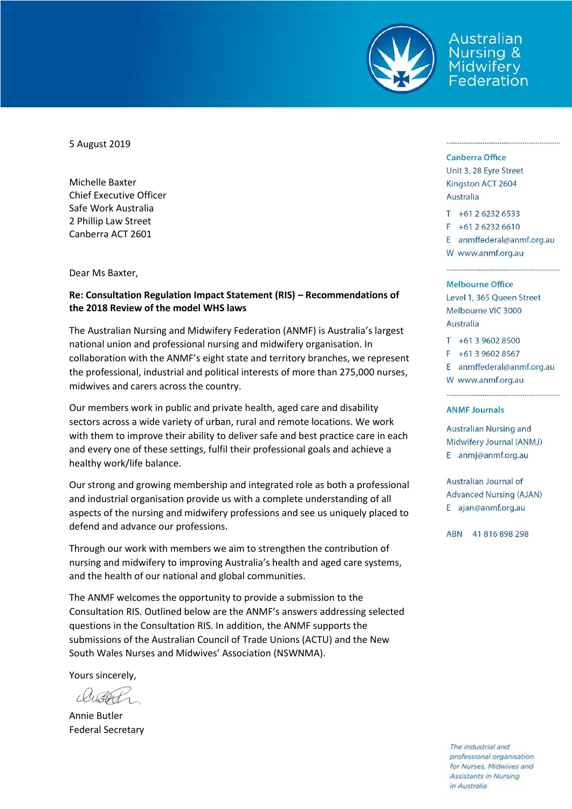

Australian Nursing & **Midwifery** Federation

5 August 2019

Michelle Baxter Chief Executive Officer Safe Work Australia 2 Phillip Law Street Canberra ACT 2601

Dear Ms Baxter,

#### **Re: Consultation Regulation Impact Statement (RIS) – Recommendations of the 2018 Review of the model WHS laws**

The Australian Nursing and Midwifery Federation (ANMF) is Australia's largest national union and professional nursing and midwifery organisation. In collaboration with the ANMF's eight state and territory branches, we represent the professional, industrial and political interests of more than 275,000 nurses, midwives and carers across the country.

Our members work in public and private health, aged care and disability sectors across a wide variety of urban, rural and remote locations. We work with them to improve their ability to deliver safe and best practice care in each and every one of these settings, fulfil their professional goals and achieve a healthy work/life balance.

Our strong and growing membership and integrated role as both a professional and industrial organisation provide us with a complete understanding of all aspects of the nursing and midwifery professions and see us uniquely placed to defend and advance our professions.

Through our work with members we aim to strengthen the contribution of nursing and midwifery to improving Australia's health and aged care systems, and the health of our national and global communities.

The ANMF welcomes the opportunity to provide a submission to the Consultation RIS. Outlined below are the ANMF's answers addressing selected questions in the Consultation RIS. In addition, the ANMF supports the submissions of the Australian Council of Trade Unions (ACTU) and the New South Wales Nurses and Midwives' Association (NSWNMA).

Yours sincerely,

Annie Butler Federal Secretary

#### **Canberra Office**

Unit 3, 28 Eyre Street Kingston ACT 2604 **Australia** 

 $T + 61262326533$ 

 $F + 61262326610$ 

E anmffederal@anmf.org.au W www.anmf.org.au

#### Melbourne Office

Level 1, 365 Queen Street Melbourne VIC 3000 Australia

 $T + 61396028500$  $F + 61396028567$ E anmffederal@anmf.org.au W www.anmf.org.au

#### **ANMF Journals**

**Australian Nursing and** Midwifery Journal (ANMJ) E anmj@anmf.org.au

Australian Journal of **Advanced Nursing (AJAN)** E ajan@anmf.org.au

ABN 41816898298

The industrial and professional organisation for Nurses, Midwives and Assistants in Nursing in Australia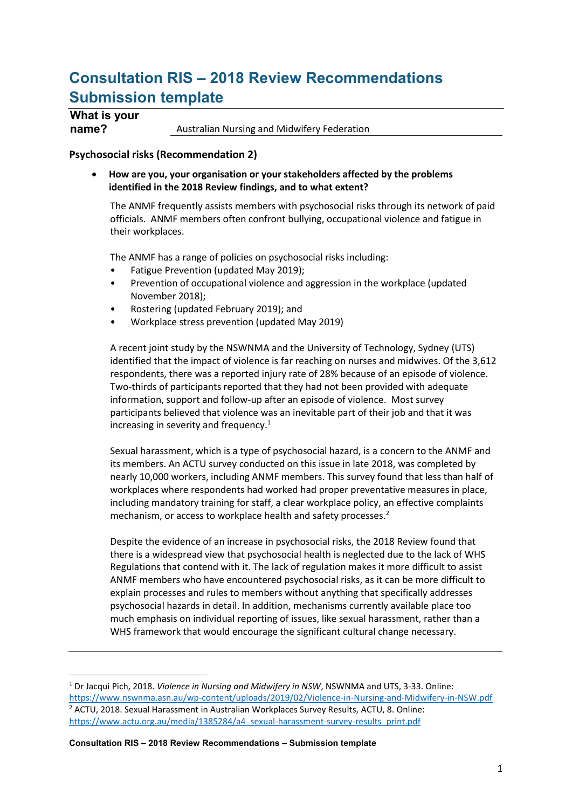# **Consultation RIS – 2018 Review Recommendations Submission template**

# **What is your**

 $\overline{a}$ 

**name?** Australian Nursing and Midwifery Federation

# **Psychosocial risks (Recommendation 2)**

 **How are you, your organisation or your stakeholders affected by the problems identified in the 2018 Review findings, and to what extent?** 

The ANMF frequently assists members with psychosocial risks through its network of paid officials. ANMF members often confront bullying, occupational violence and fatigue in their workplaces.

The ANMF has a range of policies on psychosocial risks including:

- Fatigue Prevention (updated May 2019);
- Prevention of occupational violence and aggression in the workplace (updated November 2018);
- Rostering (updated February 2019); and
- Workplace stress prevention (updated May 2019)

A recent joint study by the NSWNMA and the University of Technology, Sydney (UTS) identified that the impact of violence is far reaching on nurses and midwives. Of the 3,612 respondents, there was a reported injury rate of 28% because of an episode of violence. Two-thirds of participants reported that they had not been provided with adequate information, support and follow-up after an episode of violence. Most survey participants believed that violence was an inevitable part of their job and that it was increasing in severity and frequency.<sup>1</sup>

Sexual harassment, which is a type of psychosocial hazard, is a concern to the ANMF and its members. An ACTU survey conducted on this issue in late 2018, was completed by nearly 10,000 workers, including ANMF members. This survey found that less than half of workplaces where respondents had worked had proper preventative measures in place, including mandatory training for staff, a clear workplace policy, an effective complaints mechanism, or access to workplace health and safety processes. 2

Despite the evidence of an increase in psychosocial risks, the 2018 Review found that there is a widespread view that psychosocial health is neglected due to the lack of WHS Regulations that contend with it. The lack of regulation makes it more difficult to assist ANMF members who have encountered psychosocial risks, as it can be more difficult to explain processes and rules to members without anything that specifically addresses psychosocial hazards in detail. In addition, mechanisms currently available place too much emphasis on individual reporting of issues, like sexual harassment, rather than a WHS framework that would encourage the significant cultural change necessary.

**Consultation RIS – 2018 Review Recommendations – Submission template**

<sup>1</sup> Dr Jacqui Pich, 2018. *Violence in Nursing and Midwifery in NSW*, NSWNMA and UTS, 3-33. Online: <https://www.nswnma.asn.au/wp-content/uploads/2019/02/Violence-in-Nursing-and-Midwifery-in-NSW.pdf> <sup>2</sup> ACTU, 2018. Sexual Harassment in Australian Workplaces Survey Results, ACTU, 8. Online: [https://www.actu.org.au/media/1385284/a4\\_sexual-harassment-survey-results\\_print.pdf](https://www.actu.org.au/media/1385284/a4_sexual-harassment-survey-results_print.pdf)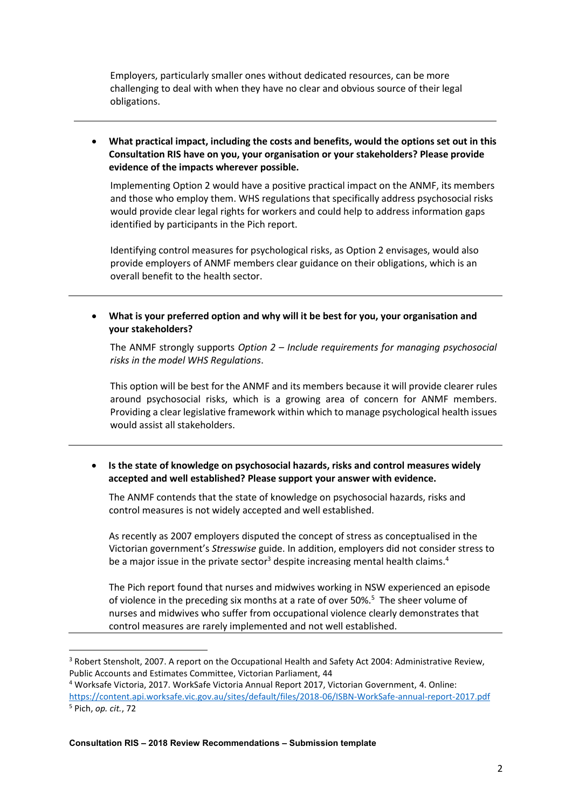Employers, particularly smaller ones without dedicated resources, can be more challenging to deal with when they have no clear and obvious source of their legal obligations.

 **What practical impact, including the costs and benefits, would the options set out in this Consultation RIS have on you, your organisation or your stakeholders? Please provide evidence of the impacts wherever possible.**

Implementing Option 2 would have a positive practical impact on the ANMF, its members and those who employ them. WHS regulations that specifically address psychosocial risks would provide clear legal rights for workers and could help to address information gaps identified by participants in the Pich report.

Identifying control measures for psychological risks, as Option 2 envisages, would also provide employers of ANMF members clear guidance on their obligations, which is an overall benefit to the health sector.

 **What is your preferred option and why will it be best for you, your organisation and your stakeholders?**

The ANMF strongly supports *Option 2 – Include requirements for managing psychosocial risks in the model WHS Regulations*.

This option will be best for the ANMF and its members because it will provide clearer rules around psychosocial risks, which is a growing area of concern for ANMF members. Providing a clear legislative framework within which to manage psychological health issues would assist all stakeholders.

 **Is the state of knowledge on psychosocial hazards, risks and control measures widely accepted and well established? Please support your answer with evidence.**

The ANMF contends that the state of knowledge on psychosocial hazards, risks and control measures is not widely accepted and well established.

As recently as 2007 employers disputed the concept of stress as conceptualised in the Victorian government's *Stresswise* guide. In addition, employers did not consider stress to be a major issue in the private sector<sup>3</sup> despite increasing mental health claims.<sup>4</sup>

The Pich report found that nurses and midwives working in NSW experienced an episode of violence in the preceding six months at a rate of over 50%.<sup>5</sup> The sheer volume of nurses and midwives who suffer from occupational violence clearly demonstrates that control measures are rarely implemented and not well established.

**.** 

<sup>&</sup>lt;sup>3</sup> Robert Stensholt, 2007. A report on the Occupational Health and Safety Act 2004: Administrative Review, Public Accounts and Estimates Committee, Victorian Parliament, 44

<sup>4</sup> Worksafe Victoria, 2017. WorkSafe Victoria Annual Report 2017, Victorian Government, 4. Online:

<https://content.api.worksafe.vic.gov.au/sites/default/files/2018-06/ISBN-WorkSafe-annual-report-2017.pdf> <sup>5</sup> Pich, *op. cit.*, 72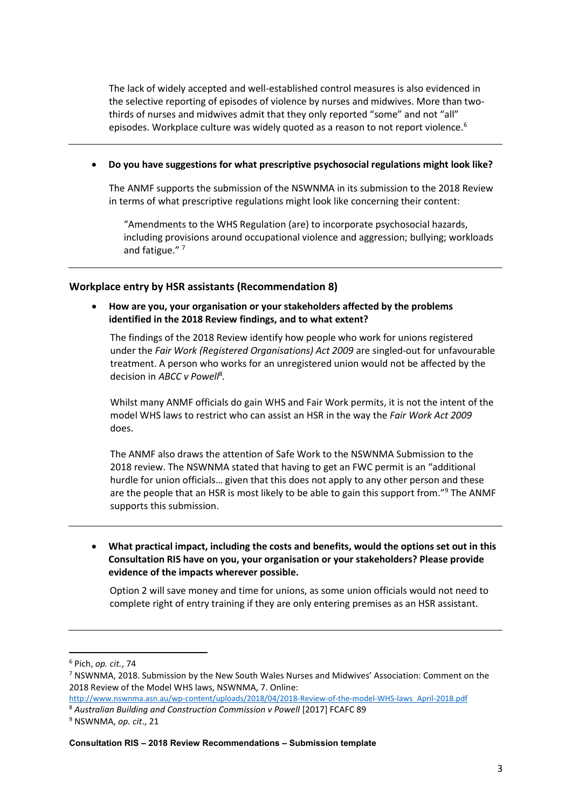The lack of widely accepted and well-established control measures is also evidenced in the selective reporting of episodes of violence by nurses and midwives. More than twothirds of nurses and midwives admit that they only reported "some" and not "all" episodes. Workplace culture was widely quoted as a reason to not report violence.<sup>6</sup>

**Do you have suggestions for what prescriptive psychosocial regulations might look like?**

The ANMF supports the submission of the NSWNMA in its submission to the 2018 Review in terms of what prescriptive regulations might look like concerning their content:

"Amendments to the WHS Regulation (are) to incorporate psychosocial hazards, including provisions around occupational violence and aggression; bullying; workloads and fatigue."<sup>7</sup>

#### **Workplace entry by HSR assistants (Recommendation 8)**

 **How are you, your organisation or your stakeholders affected by the problems identified in the 2018 Review findings, and to what extent?**

The findings of the 2018 Review identify how people who work for unions registered under the *Fair Work (Registered Organisations) Act 2009* are singled-out for unfavourable treatment. A person who works for an unregistered union would not be affected by the decision in *ABCC v Powell*<sup>8</sup> *.* 

Whilst many ANMF officials do gain WHS and Fair Work permits, it is not the intent of the model WHS laws to restrict who can assist an HSR in the way the *Fair Work Act 2009* does.

The ANMF also draws the attention of Safe Work to the NSWNMA Submission to the 2018 review. The NSWNMA stated that having to get an FWC permit is an "additional hurdle for union officials… given that this does not apply to any other person and these are the people that an HSR is most likely to be able to gain this support from."<sup>9</sup> The ANMF supports this submission.

 **What practical impact, including the costs and benefits, would the options set out in this Consultation RIS have on you, your organisation or your stakeholders? Please provide evidence of the impacts wherever possible.**

Option 2 will save money and time for unions, as some union officials would not need to complete right of entry training if they are only entering premises as an HSR assistant.

**.** 

[http://www.nswnma.asn.au/wp-content/uploads/2018/04/2018-Review-of-the-model-WHS-laws\\_April-2018.pdf](http://www.nswnma.asn.au/wp-content/uploads/2018/04/2018-Review-of-the-model-WHS-laws_April-2018.pdf) <sup>8</sup> Australian Building and Construction Commission v Powell [2017] FCAFC 89

**Consultation RIS – 2018 Review Recommendations – Submission template**

<sup>6</sup> Pich, *op. cit.*, 74

<sup>7</sup> NSWNMA, 2018. Submission by the New South Wales Nurses and Midwives' Association: Comment on the 2018 Review of the Model WHS laws, NSWNMA, 7. Online:

<sup>9</sup> NSWNMA, *op. cit*., 21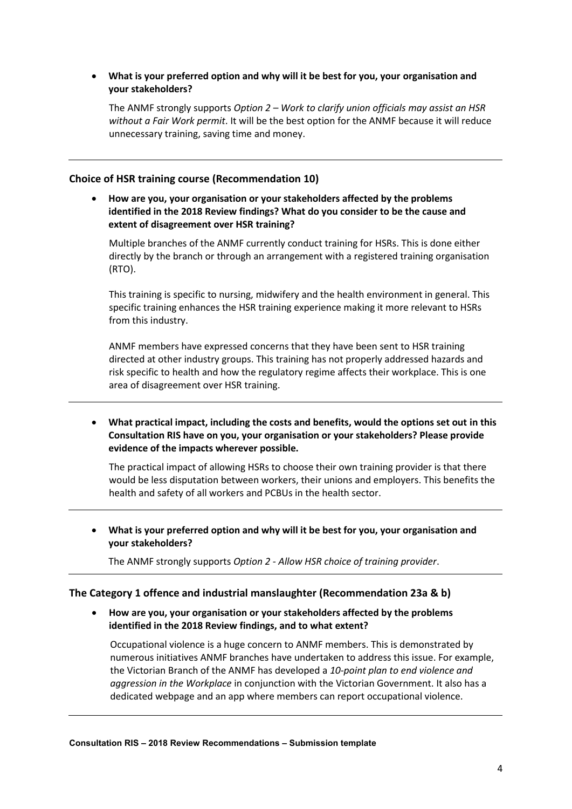### **What is your preferred option and why will it be best for you, your organisation and your stakeholders?**

The ANMF strongly supports *Option 2 – Work to clarify union officials may assist an HSR without a Fair Work permit*. It will be the best option for the ANMF because it will reduce unnecessary training, saving time and money.

# **Choice of HSR training course (Recommendation 10)**

 **How are you, your organisation or your stakeholders affected by the problems identified in the 2018 Review findings? What do you consider to be the cause and extent of disagreement over HSR training?**

Multiple branches of the ANMF currently conduct training for HSRs. This is done either directly by the branch or through an arrangement with a registered training organisation (RTO).

This training is specific to nursing, midwifery and the health environment in general. This specific training enhances the HSR training experience making it more relevant to HSRs from this industry.

ANMF members have expressed concerns that they have been sent to HSR training directed at other industry groups. This training has not properly addressed hazards and risk specific to health and how the regulatory regime affects their workplace. This is one area of disagreement over HSR training.

 **What practical impact, including the costs and benefits, would the options set out in this Consultation RIS have on you, your organisation or your stakeholders? Please provide evidence of the impacts wherever possible.**

The practical impact of allowing HSRs to choose their own training provider is that there would be less disputation between workers, their unions and employers. This benefits the health and safety of all workers and PCBUs in the health sector.

 **What is your preferred option and why will it be best for you, your organisation and your stakeholders?**

The ANMF strongly supports *Option 2 - Allow HSR choice of training provider*.

#### **The Category 1 offence and industrial manslaughter (Recommendation 23a & b)**

 **How are you, your organisation or your stakeholders affected by the problems identified in the 2018 Review findings, and to what extent?** 

Occupational violence is a huge concern to ANMF members. This is demonstrated by numerous initiatives ANMF branches have undertaken to address this issue. For example, the Victorian Branch of the ANMF has developed a *10-point plan to end violence and aggression in the Workplace* in conjunction with the Victorian Government. It also has a dedicated webpage and an app where members can report occupational violence.